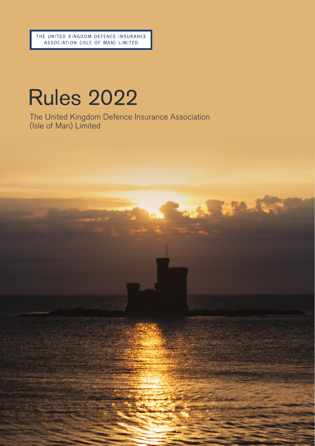# Rules 2022

The United Kingdom Defence Insurance Association (Isle of Man) Limited

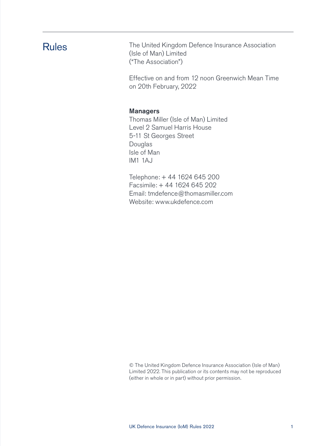Rules The United Kingdom Defence Insurance Association (Isle of Man) Limited ("The Association")

> Effective on and from 12 noon Greenwich Mean Time on 20th February, 2022

#### Managers

Thomas Miller (Isle of Man) Limited Level 2 Samuel Harris House 5-11 St Georges Street Douglas Isle of Man IM1 1AJ

Telephone: + 44 1624 645 200 Facsimile: + 44 1624 645 202 Email: tmdefence@thomasmiller.com Website: www.ukdefence.com

© The United Kingdom Defence Insurance Association (Isle of Man) Limited 2022. This publication or its contents may not be reproduced (either in whole or in part) without prior permission.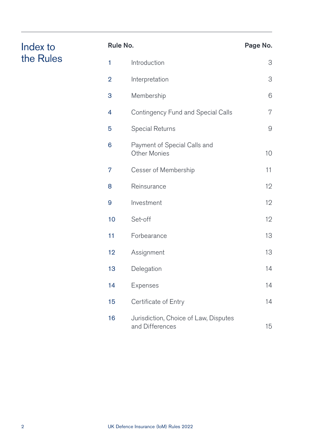|                 | Rule No.                                                 | Page No. |
|-----------------|----------------------------------------------------------|----------|
| 1               | Introduction                                             | 3        |
| $\overline{2}$  | Interpretation                                           | 3        |
| 3               | Membership                                               | 6        |
| 4               | Contingency Fund and Special Calls                       | 7        |
| 5               | Special Returns                                          | 9        |
| 6               | Payment of Special Calls and<br><b>Other Monies</b>      | 10       |
| 7               | Cesser of Membership                                     | 11       |
| 8               | Reinsurance                                              | 12       |
| 9               | Investment                                               | 12       |
| 10 <sup>1</sup> | Set-off                                                  | 12       |
| 11              | Forbearance                                              | 13       |
| 12              | Assignment                                               | 13       |
| 13              | Delegation                                               | 14       |
| 14              | Expenses                                                 | 14       |
| 15              | Certificate of Entry                                     | 14       |
| 16              | Jurisdiction, Choice of Law, Disputes<br>and Differences | 15       |

Index to the Rules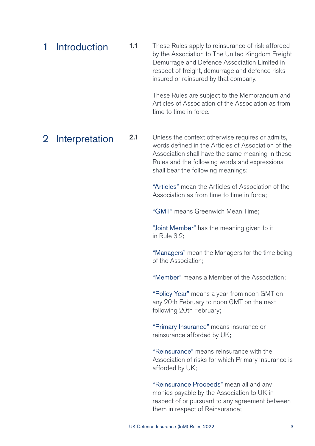| 1 Introduction | 1.1 | These Rules apply to reinsurance of risk afforded<br>by the Association to The United Kingdom Freight<br>Demurrage and Defence Association Limited in<br>respect of freight, demurrage and defence risks<br>insured or reinsured by that company. |
|----------------|-----|---------------------------------------------------------------------------------------------------------------------------------------------------------------------------------------------------------------------------------------------------|
|                |     | These Rules are subject to the Memorandum and                                                                                                                                                                                                     |

 These Rules are subject to the Memorandum and Articles of Association of the Association as from time to time in force.

### 2 Interpretation

2.1 Unless the context otherwise requires or admits, words defined in the Articles of Association of the Association shall have the same meaning in these Rules and the following words and expressions shall bear the following meanings:

> "Articles" mean the Articles of Association of the Association as from time to time in force;

"GMT" means Greenwich Mean Time;

 "Joint Member" has the meaning given to it in Rule 3.2;

 "Managers" mean the Managers for the time being of the Association;

"Member" means a Member of the Association;

 "Policy Year" means a year from noon GMT on any 20th February to noon GMT on the next following 20th February;

"Primary Insurance" means insurance or reinsurance afforded by UK;

 "Reinsurance" means reinsurance with the Association of risks for which Primary Insurance is afforded by UK;

 "Reinsurance Proceeds" mean all and any monies payable by the Association to UK in respect of or pursuant to any agreement between them in respect of Reinsurance;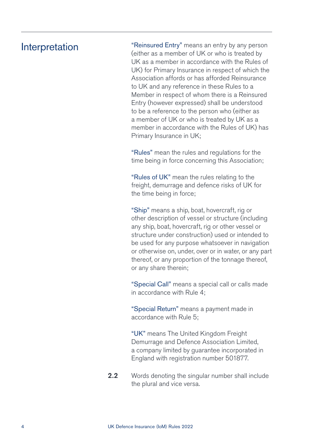### Interpretation

 "Reinsured Entry" means an entry by any person (either as a member of UK or who is treated by UK as a member in accordance with the Rules of UK) for Primary Insurance in respect of which the Association affords or has afforded Reinsurance to UK and any reference in these Rules to a Member in respect of whom there is a Reinsured Entry (however expressed) shall be understood to be a reference to the person who (either as a member of UK or who is treated by UK as a member in accordance with the Rules of UK) has Primary Insurance in UK;

"Rules" mean the rules and regulations for the time being in force concerning this Association;

 "Rules of UK" mean the rules relating to the freight, demurrage and defence risks of UK for the time being in force;

 "Ship" means a ship, boat, hovercraft, rig or other description of vessel or structure (including any ship, boat, hovercraft, rig or other vessel or structure under construction) used or intended to be used for any purpose whatsoever in navigation or otherwise on, under, over or in water, or any part thereof, or any proportion of the tonnage thereof, or any share therein;

 "Special Call" means a special call or calls made in accordance with Rule 4;

 "Special Return" means a payment made in accordance with Rule 5;

"UK" means The United Kingdom Freight Demurrage and Defence Association Limited, a company limited by guarantee incorporated in England with registration number 501877.

2.2 Words denoting the singular number shall include the plural and vice versa.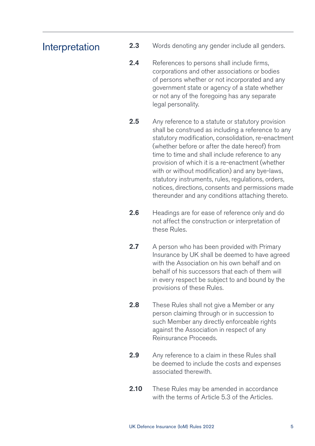### Interpretation

- **2.3** Words denoting any gender include all genders.
- 2.4 References to persons shall include firms, corporations and other associations or bodies of persons whether or not incorporated and any government state or agency of a state whether or not any of the foregoing has any separate legal personality.
- 2.5 Any reference to a statute or statutory provision shall be construed as including a reference to any statutory modification, consolidation, re-enactment (whether before or after the date hereof) from time to time and shall include reference to any provision of which it is a re-enactment (whether with or without modification) and any bye-laws. statutory instruments, rules, regulations, orders, notices, directions, consents and permissions made thereunder and any conditions attaching thereto.
- 2.6 Headings are for ease of reference only and do not affect the construction or interpretation of these Rules.
- 2.7 A person who has been provided with Primary Insurance by UK shall be deemed to have agreed with the Association on his own hehalf and on behalf of his successors that each of them will in every respect be subject to and bound by the provisions of these Rules.
- 2.8 These Rules shall not give a Member or any person claiming through or in succession to such Member any directly enforceable rights against the Association in respect of any Reinsurance Proceeds.
- **2.9** Any reference to a claim in these Rules shall be deemed to include the costs and expenses associated therewith.
- **2.10** These Rules may be amended in accordance with the terms of Article 5.3 of the Articles.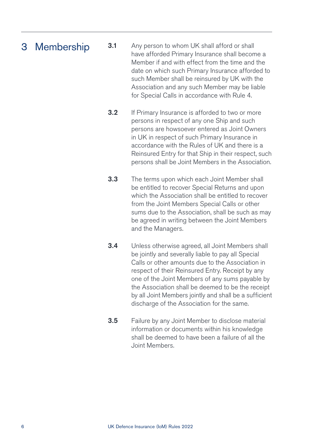### **3.1** Any person to whom UK shall afford or shall 3 Membership

- have afforded Primary Insurance shall become a Member if and with effect from the time and the date on which such Primary Insurance afforded to such Member shall be reinsured by UK with the Association and any such Member may be liable for Special Calls in accordance with Rule 4.
	- **3.2** If Primary Insurance is afforded to two or more persons in respect of any one Ship and such persons are howsoever entered as Joint Owners in UK in respect of such Primary Insurance in accordance with the Rules of UK and there is a Reinsured Entry for that Ship in their respect, such persons shall be Joint Members in the Association.
	- **3.3** The terms upon which each Joint Member shall be entitled to recover Special Returns and upon which the Association shall be entitled to recover from the Joint Members Special Calls or other sums due to the Association, shall be such as may be agreed in writing between the Joint Members and the Managers.
	- 3.4 Unless otherwise agreed, all Joint Members shall be jointly and severally liable to pay all Special Calls or other amounts due to the Association in respect of their Reinsured Entry. Receipt by any one of the Joint Members of any sums payable by the Association shall be deemed to be the receipt by all Joint Members jointly and shall be a sufficient discharge of the Association for the same.
	- **3.5** Failure by any Joint Member to disclose material information or documents within his knowledge shall be deemed to have been a failure of all the Joint Members.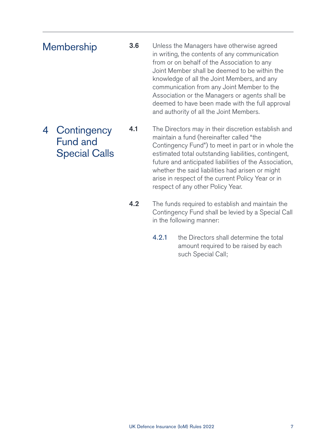### **Membership**

**3.6** Unless the Managers have otherwise agreed in writing, the contents of any communication from or on behalf of the Association to any Joint Member shall be deemed to be within the knowledge of all the Joint Members, and any communication from any Joint Member to the Association or the Managers or agents shall be deemed to have been made with the full approval and authority of all the Joint Members.

4.1 The Directors may in their discretion establish and maintain a fund (hereinafter called "the Contingency Fund") to meet in part or in whole the estimated total outstanding liabilities, contingent, future and anticipated liabilities of the Association, whether the said liabilities had arisen or might arise in respect of the current Policy Year or in respect of any other Policy Year. 4 Contingency Fund and Special Calls

- **4.2** The funds required to establish and maintain the Contingency Fund shall be levied by a Special Call in the following manner:
	- 4.2.1 the Directors shall determine the total amount required to be raised by each such Special Call;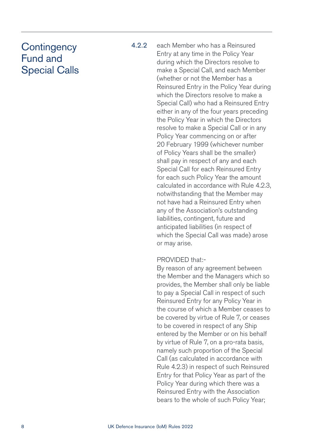### **Contingency** Fund and Special Calls

4.2.2 each Member who has a Reinsured Entry at any time in the Policy Year during which the Directors resolve to make a Special Call, and each Member (whether or not the Member has a Reinsured Entry in the Policy Year during which the Directors resolve to make a Special Call) who had a Reinsured Entry either in any of the four years preceding the Policy Year in which the Directors resolve to make a Special Call or in any Policy Year commencing on or after 20 February 1999 (whichever number of Policy Years shall be the smaller) shall pay in respect of any and each Special Call for each Reinsured Entry for each such Policy Year the amount calculated in accordance with Rule 4.2.3, notwithstanding that the Member may not have had a Reinsured Entry when any of the Association's outstanding liabilities, contingent, future and anticipated liabilities (in respect of which the Special Call was made) arose or may arise.

### PROVIDED that:-

 By reason of any agreement between the Member and the Managers which so provides, the Member shall only be liable to pay a Special Call in respect of such Reinsured Entry for any Policy Year in the course of which a Member ceases to be covered by virtue of Rule 7, or ceases to be covered in respect of any Ship entered by the Member or on his behalf by virtue of Rule 7, on a pro-rata basis, namely such proportion of the Special Call (as calculated in accordance with Rule 4.2.3) in respect of such Reinsured Entry for that Policy Year as part of the Policy Year during which there was a Reinsured Entry with the Association bears to the whole of such Policy Year;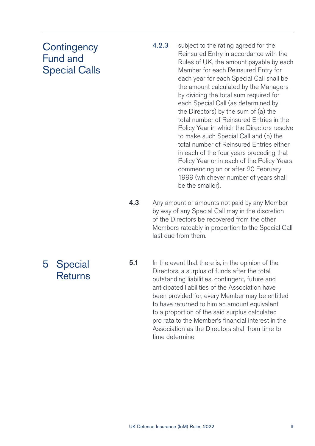### **Contingency** Fund and Special Calls

- 4.2.3 subject to the rating agreed for the Reinsured Entry in accordance with the Rules of UK, the amount payable by each Member for each Reinsured Entry for each year for each Special Call shall be the amount calculated by the Managers by dividing the total sum required for each Special Call (as determined by the Directors) by the sum of (a) the total number of Reinsured Entries in the Policy Year in which the Directors resolve to make such Special Call and (b) the total number of Reinsured Entries either in each of the four years preceding that Policy Year or in each of the Policy Years commencing on or after 20 February 1999 (whichever number of years shall be the smaller).
- 4.3 Any amount or amounts not paid by any Member by way of any Special Call may in the discretion of the Directors be recovered from the other Members rateably in proportion to the Special Call last due from them.

5 Special **Returns**  **5.1** In the event that there is, in the opinion of the Directors, a surplus of funds after the total outstanding liabilities, contingent, future and anticipated liabilities of the Association have been provided for, every Member may be entitled to have returned to him an amount equivalent to a proportion of the said surplus calculated pro rata to the Member's financial interest in the Association as the Directors shall from time to time determine.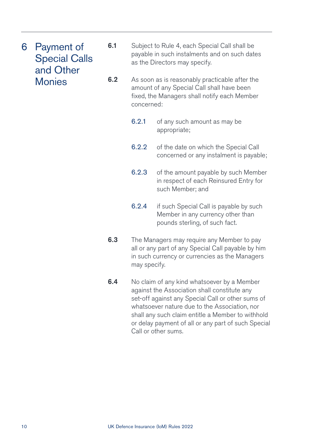- 6 Payment of Special Calls and Other Monies
- **6.1** Subject to Rule 4, each Special Call shall be payable in such instalments and on such dates as the Directors may specify.
- **6.2** As soon as is reasonably practicable after the amount of any Special Call shall have been fixed, the Managers shall notify each Member concerned:
	- 6.2.1 of any such amount as may be appropriate;
	- 6.2.2 of the date on which the Special Call concerned or any instalment is payable;
	- 6.2.3 of the amount payable by such Member in respect of each Reinsured Entry for such Member; and
	- 6.2.4 if such Special Call is payable by such Member in any currency other than pounds sterling, of such fact.
- **6.3** The Managers may require any Member to pay all or any part of any Special Call payable by him in such currency or currencies as the Managers may specify.
- **6.4** No claim of any kind whatsoever by a Member against the Association shall constitute any set-off against any Special Call or other sums of whatsoever nature due to the Association, nor shall any such claim entitle a Member to withhold or delay payment of all or any part of such Special Call or other sums.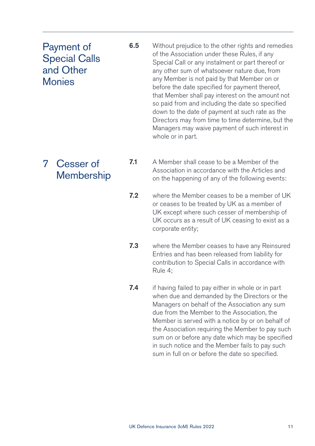## Payment of Special Calls and Other Monies

- **6.5** Without prejudice to the other rights and remedies of the Association under these Rules, if any Special Call or any instalment or part thereof or any other sum of whatsoever nature due, from any Member is not paid by that Member on or before the date specified for payment thereof, that Member shall pay interest on the amount not so paid from and including the date so specified down to the date of payment at such rate as the Directors may from time to time determine, but the Managers may waive payment of such interest in whole or in part.
- 7 Cesser of **Membership**
- 7.1 A Member shall cease to be a Member of the Association in accordance with the Articles and on the happening of any of the following events:
- 7.2 where the Member ceases to be a member of UK or ceases to be treated by UK as a member of UK except where such cesser of membership of UK occurs as a result of UK ceasing to exist as a corporate entity;
- **7.3** where the Member ceases to have any Reinsured Entries and has been released from liability for contribution to Special Calls in accordance with Rule 4;
- **7.4** if having failed to pay either in whole or in part when due and demanded by the Directors or the Managers on behalf of the Association any sum due from the Member to the Association, the Member is served with a notice by or on behalf of the Association requiring the Member to pay such sum on or before any date which may be specified in such notice and the Member fails to pay such sum in full on or before the date so specified.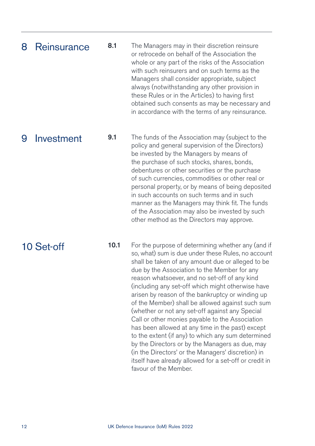#### 8.1 The Managers may in their discretion reinsure or retrocede on behalf of the Association the whole or any part of the risks of the Association with such reinsurers and on such terms as the Managers shall consider appropriate, subject always (notwithstanding any other provision in these Rules or in the Articles) to having first obtained such consents as may be necessary and in accordance with the terms of any reinsurance. 8 Reinsurance

### 9 Investment

9.1 The funds of the Association may (subject to the policy and general supervision of the Directors) be invested by the Managers by means of the purchase of such stocks, shares, bonds, debentures or other securities or the purchase of such currencies, commodities or other real or personal property, or by means of being deposited in such accounts on such terms and in such manner as the Managers may think fit. The funds of the Association may also be invested by such other method as the Directors may approve.

10 Set-off

10.1 For the purpose of determining whether any (and if so, what) sum is due under these Rules, no account shall be taken of any amount due or alleged to be due by the Association to the Member for any reason whatsoever, and no set-off of any kind (including any set-off which might otherwise have arisen by reason of the bankruptcy or winding up of the Member) shall be allowed against such sum (whether or not any set-off against any Special Call or other monies payable to the Association has been allowed at any time in the past) except to the extent (if any) to which any sum determined by the Directors or by the Managers as due, may (in the Directors' or the Managers' discretion) in itself have already allowed for a set-off or credit in favour of the Member.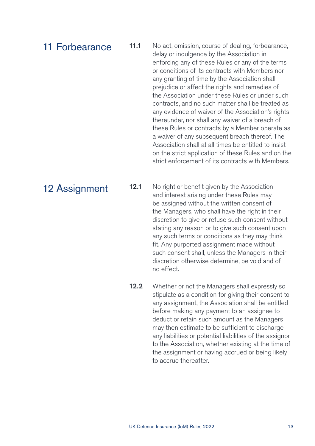### 11 Forbearance

11.1 No act, omission, course of dealing, forbearance, delay or indulgence by the Association in enforcing any of these Rules or any of the terms or conditions of its contracts with Members nor any granting of time by the Association shall prejudice or affect the rights and remedies of the Association under these Rules or under such contracts, and no such matter shall be treated as any evidence of waiver of the Association's rights thereunder, nor shall any waiver of a breach of these Rules or contracts by a Member operate as a waiver of any subsequent breach thereof. The Association shall at all times be entitled to insist on the strict application of these Rules and on the strict enforcement of its contracts with Members.

12 Assignment

12.1 No right or benefit given by the Association and interest arising under these Rules may be assigned without the written consent of the Managers, who shall have the right in their discretion to give or refuse such consent without stating any reason or to give such consent upon any such terms or conditions as they may think fit. Any purported assignment made without such consent shall, unless the Managers in their discretion otherwise determine, be void and of no effect.

12.2 Whether or not the Managers shall expressly so stipulate as a condition for giving their consent to any assignment, the Association shall be entitled before making any payment to an assignee to deduct or retain such amount as the Managers may then estimate to be sufficient to discharge any liabilities or potential liabilities of the assignor to the Association, whether existing at the time of the assignment or having accrued or being likely to accrue thereafter.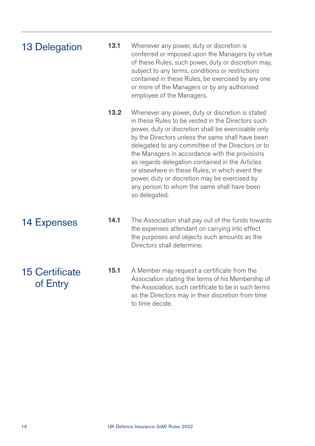| <b>13 Delegation</b>              | 13.1 | Whenever any power, duty or discretion is<br>conferred or imposed upon the Managers by virtue<br>of these Rules, such power, duty or discretion may,<br>subject to any terms, conditions or restrictions<br>contained in these Rules, be exercised by any one<br>or more of the Managers or by any authorised<br>employee of the Managers.                                                                                                                                                                                                     |
|-----------------------------------|------|------------------------------------------------------------------------------------------------------------------------------------------------------------------------------------------------------------------------------------------------------------------------------------------------------------------------------------------------------------------------------------------------------------------------------------------------------------------------------------------------------------------------------------------------|
|                                   | 13.2 | Whenever any power, duty or discretion is stated<br>in these Rules to be vested in the Directors such<br>power, duty or discretion shall be exercisable only<br>by the Directors unless the same shall have been<br>delegated to any committee of the Directors or to<br>the Managers in accordance with the provisions<br>as regards delegation contained in the Articles<br>or elsewhere in these Rules, in which event the<br>power, duty or discretion may be exercised by<br>any person to whom the same shall have been<br>so delegated. |
| <b>14 Expenses</b>                | 14.1 | The Association shall pay out of the funds towards<br>the expenses attendant on carrying into effect<br>the purposes and objects such amounts as the<br>Directors shall determine.                                                                                                                                                                                                                                                                                                                                                             |
| <b>15 Certificate</b><br>of Entry | 15.1 | A Member may request a certificate from the<br>Association stating the terms of his Membership of<br>the Association, such certificate to be in such terms<br>as the Directors may in their discretion from time<br>to time decide.                                                                                                                                                                                                                                                                                                            |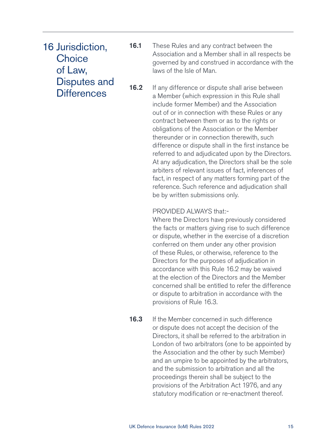16 Jurisdiction, **Choice** of Law, Disputes and **Differences** 

16.1 These Rules and any contract between the Association and a Member shall in all respects be governed by and construed in accordance with the laws of the Isle of Man.

16.2 If any difference or dispute shall arise between a Member (which expression in this Rule shall include former Member) and the Association out of or in connection with these Rules or any contract between them or as to the rights or obligations of the Association or the Member thereunder or in connection therewith, such difference or dispute shall in the first instance be referred to and adjudicated upon by the Directors. At any adjudication, the Directors shall be the sole arbiters of relevant issues of fact, inferences of fact, in respect of any matters forming part of the reference. Such reference and adjudication shall be by written submissions only.

#### PROVIDED ALWAYS that:-

 Where the Directors have previously considered the facts or matters giving rise to such difference or dispute, whether in the exercise of a discretion conferred on them under any other provision of these Rules, or otherwise, reference to the Directors for the purposes of adjudication in accordance with this Rule 16.2 may be waived at the election of the Directors and the Member concerned shall be entitled to refer the difference or dispute to arbitration in accordance with the provisions of Rule 16.3.

**16.3** If the Member concerned in such difference or dispute does not accept the decision of the Directors, it shall be referred to the arbitration in London of two arbitrators (one to be appointed by the Association and the other by such Member) and an umpire to be appointed by the arbitrators, and the submission to arbitration and all the proceedings therein shall be subject to the provisions of the Arbitration Act 1976, and any statutory modification or re-enactment thereof.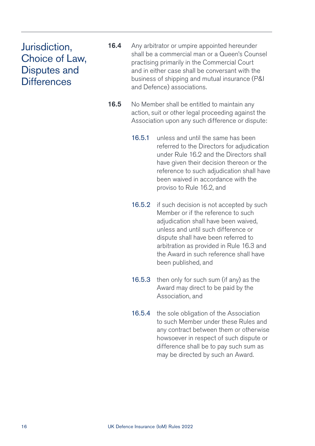### Jurisdiction, Choice of Law, Disputes and **Differences**

- 16.4 Any arbitrator or umpire appointed hereunder shall be a commercial man or a Queen's Counsel practising primarily in the Commercial Court and in either case shall be conversant with the business of shipping and mutual insurance (P&I and Defence) associations.
- 16.5 No Member shall be entitled to maintain any action, suit or other legal proceeding against the Association upon any such difference or dispute:
	- 16.5.1 unless and until the same has been referred to the Directors for adjudication under Rule 16.2 and the Directors shall have given their decision thereon or the reference to such adjudication shall have been waived in accordance with the proviso to Rule 16.2, and
	- 16.5.2 if such decision is not accepted by such Member or if the reference to such adjudication shall have been waived. unless and until such difference or dispute shall have been referred to arbitration as provided in Rule 16.3 and the Award in such reference shall have been published, and
	- 16.5.3 then only for such sum (if any) as the Award may direct to be paid by the Association, and
	- 16.5.4 the sole obligation of the Association to such Member under these Rules and any contract between them or otherwise howsoever in respect of such dispute or difference shall be to pay such sum as may be directed by such an Award.